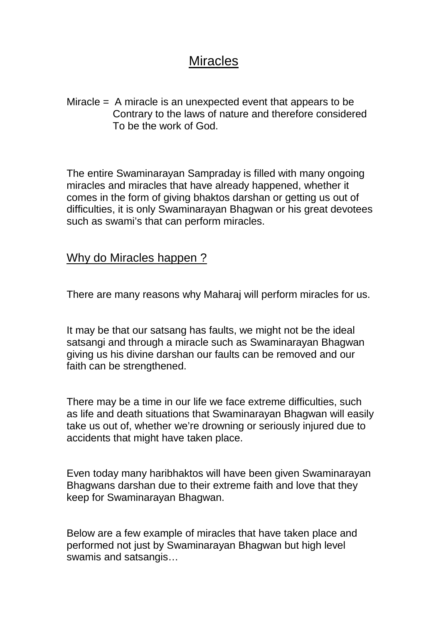## **Miracles**

Miracle = A miracle is an unexpected event that appears to be Contrary to the laws of nature and therefore considered To be the work of God.

The entire Swaminarayan Sampraday is filled with many ongoing miracles and miracles that have already happened, whether it comes in the form of giving bhaktos darshan or getting us out of difficulties, it is only Swaminarayan Bhagwan or his great devotees such as swami's that can perform miracles.

## Why do Miracles happen ?

There are many reasons why Maharaj will perform miracles for us.

It may be that our satsang has faults, we might not be the ideal satsangi and through a miracle such as Swaminarayan Bhagwan giving us his divine darshan our faults can be removed and our faith can be strengthened.

There may be a time in our life we face extreme difficulties, such as life and death situations that Swaminarayan Bhagwan will easily take us out of, whether we're drowning or seriously injured due to accidents that might have taken place.

Even today many haribhaktos will have been given Swaminarayan Bhagwans darshan due to their extreme faith and love that they keep for Swaminarayan Bhagwan.

Below are a few example of miracles that have taken place and performed not just by Swaminarayan Bhagwan but high level swamis and satsangis…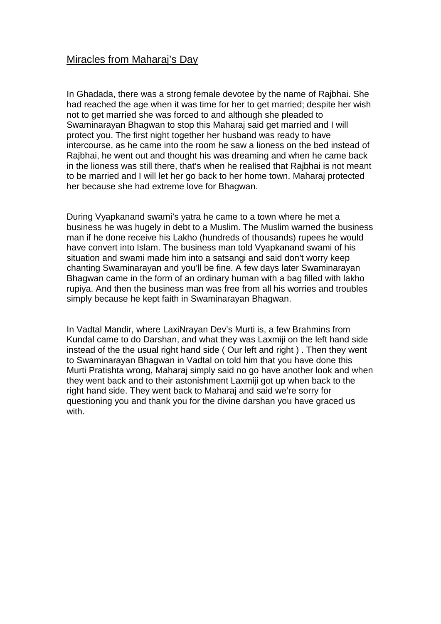## Miracles from Maharaj's Day

In Ghadada, there was a strong female devotee by the name of Rajbhai. She had reached the age when it was time for her to get married; despite her wish not to get married she was forced to and although she pleaded to Swaminarayan Bhagwan to stop this Maharaj said get married and I will protect you. The first night together her husband was ready to have intercourse, as he came into the room he saw a lioness on the bed instead of Rajbhai, he went out and thought his was dreaming and when he came back in the lioness was still there, that's when he realised that Rajbhai is not meant to be married and I will let her go back to her home town. Maharaj protected her because she had extreme love for Bhagwan.

During Vyapkanand swami's yatra he came to a town where he met a business he was hugely in debt to a Muslim. The Muslim warned the business man if he done receive his Lakho (hundreds of thousands) rupees he would have convert into Islam. The business man told Vyapkanand swami of his situation and swami made him into a satsangi and said don't worry keep chanting Swaminarayan and you'll be fine. A few days later Swaminarayan Bhagwan came in the form of an ordinary human with a bag filled with lakho rupiya. And then the business man was free from all his worries and troubles simply because he kept faith in Swaminarayan Bhagwan.

In Vadtal Mandir, where LaxiNrayan Dev's Murti is, a few Brahmins from Kundal came to do Darshan, and what they was Laxmiji on the left hand side instead of the the usual right hand side ( Our left and right ) . Then they went to Swaminarayan Bhagwan in Vadtal on told him that you have done this Murti Pratishta wrong, Maharaj simply said no go have another look and when they went back and to their astonishment Laxmiji got up when back to the right hand side. They went back to Maharaj and said we're sorry for questioning you and thank you for the divine darshan you have graced us with.